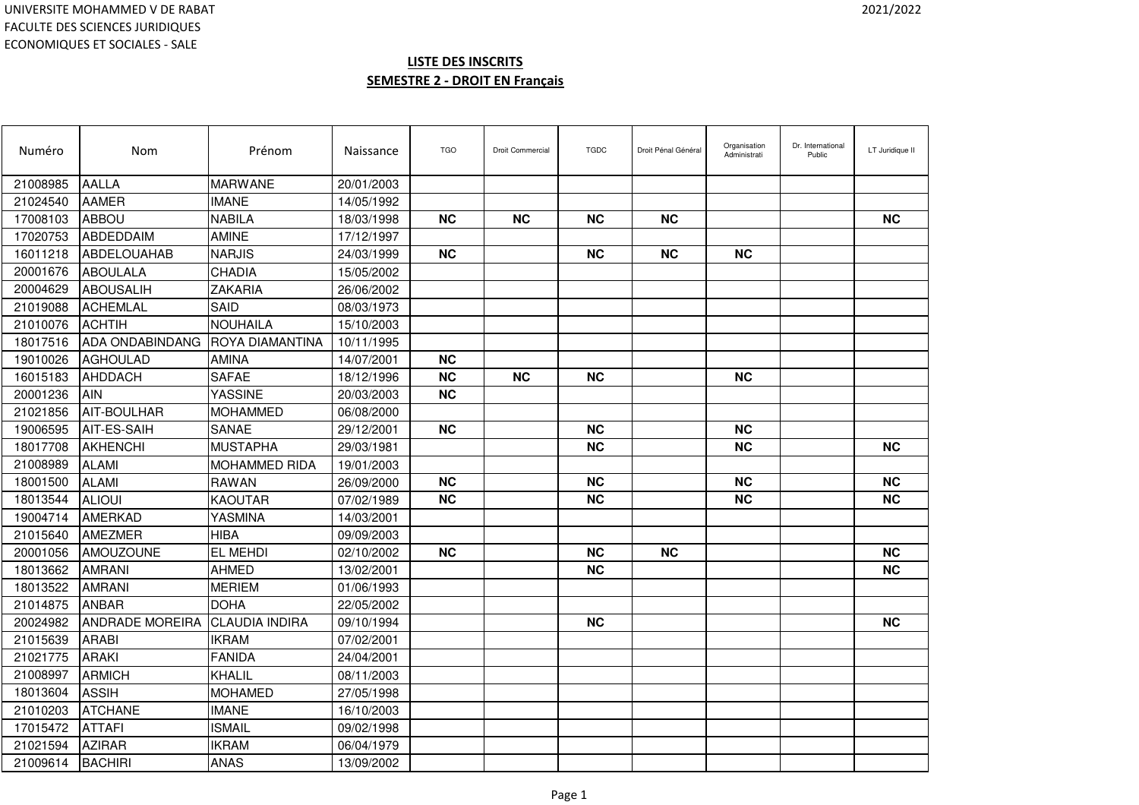| Numéro   | Nom                    | Prénom                | Naissance  | <b>TGO</b> | Droit Commercial | <b>TGDC</b> | Droit Pénal Général | Organisation<br>Administrati | Dr. International<br>Public | LT Juridique II |
|----------|------------------------|-----------------------|------------|------------|------------------|-------------|---------------------|------------------------------|-----------------------------|-----------------|
| 21008985 | <b>AALLA</b>           | <b>MARWANE</b>        | 20/01/2003 |            |                  |             |                     |                              |                             |                 |
| 21024540 | <b>AAMER</b>           | <b>IMANE</b>          | 14/05/1992 |            |                  |             |                     |                              |                             |                 |
| 17008103 | <b>ABBOU</b>           | <b>NABILA</b>         | 18/03/1998 | <b>NC</b>  | <b>NC</b>        | <b>NC</b>   | <b>NC</b>           |                              |                             | <b>NC</b>       |
| 17020753 | ABDEDDAIM              | <b>AMINE</b>          | 17/12/1997 |            |                  |             |                     |                              |                             |                 |
| 16011218 | ABDELOUAHAB            | <b>NARJIS</b>         | 24/03/1999 | <b>NC</b>  |                  | <b>NC</b>   | <b>NC</b>           | <b>NC</b>                    |                             |                 |
| 20001676 | <b>ABOULALA</b>        | CHADIA                | 15/05/2002 |            |                  |             |                     |                              |                             |                 |
| 20004629 | ABOUSALIH              | ZAKARIA               | 26/06/2002 |            |                  |             |                     |                              |                             |                 |
| 21019088 | <b>ACHEMLAL</b>        | SAID                  | 08/03/1973 |            |                  |             |                     |                              |                             |                 |
| 21010076 | <b>ACHTIH</b>          | <b>NOUHAILA</b>       | 15/10/2003 |            |                  |             |                     |                              |                             |                 |
| 18017516 | <b>ADA ONDABINDANG</b> | ROYA DIAMANTINA       | 10/11/1995 |            |                  |             |                     |                              |                             |                 |
| 19010026 | <b>AGHOULAD</b>        | <b>AMINA</b>          | 14/07/2001 | <b>NC</b>  |                  |             |                     |                              |                             |                 |
| 16015183 | AHDDACH                | <b>SAFAE</b>          | 18/12/1996 | <b>NC</b>  | <b>NC</b>        | <b>NC</b>   |                     | <b>NC</b>                    |                             |                 |
| 20001236 | <b>AIN</b>             | YASSINE               | 20/03/2003 | <b>NC</b>  |                  |             |                     |                              |                             |                 |
| 21021856 | AIT-BOULHAR            | <b>MOHAMMED</b>       | 06/08/2000 |            |                  |             |                     |                              |                             |                 |
| 19006595 | AIT-ES-SAIH            | SANAE                 | 29/12/2001 | <b>NC</b>  |                  | <b>NC</b>   |                     | <b>NC</b>                    |                             |                 |
| 18017708 | <b>AKHENCHI</b>        | <b>MUSTAPHA</b>       | 29/03/1981 |            |                  | NС          |                     | <b>NC</b>                    |                             | <b>NC</b>       |
| 21008989 | <b>ALAMI</b>           | <b>MOHAMMED RIDA</b>  | 19/01/2003 |            |                  |             |                     |                              |                             |                 |
| 18001500 | <b>ALAMI</b>           | <b>RAWAN</b>          | 26/09/2000 | <b>NC</b>  |                  | <b>NC</b>   |                     | <b>NC</b>                    |                             | <b>NC</b>       |
| 18013544 | <b>ALIOUI</b>          | KAOUTAR               | 07/02/1989 | <b>NC</b>  |                  | NС          |                     | <b>NC</b>                    |                             | <b>NC</b>       |
| 19004714 | <b>AMERKAD</b>         | YASMINA               | 14/03/2001 |            |                  |             |                     |                              |                             |                 |
| 21015640 | AMEZMER                | <b>HIBA</b>           | 09/09/2003 |            |                  |             |                     |                              |                             |                 |
| 20001056 | AMOUZOUNE              | EL MEHDI              | 02/10/2002 | <b>NC</b>  |                  | <b>NC</b>   | <b>NC</b>           |                              |                             | <b>NC</b>       |
| 18013662 | <b>AMRANI</b>          | <b>AHMED</b>          | 13/02/2001 |            |                  | <b>NC</b>   |                     |                              |                             | <b>NC</b>       |
| 18013522 | <b>AMRANI</b>          | <b>MERIEM</b>         | 01/06/1993 |            |                  |             |                     |                              |                             |                 |
| 21014875 | <b>ANBAR</b>           | <b>DOHA</b>           | 22/05/2002 |            |                  |             |                     |                              |                             |                 |
| 20024982 | <b>ANDRADE MOREIRA</b> | <b>CLAUDIA INDIRA</b> | 09/10/1994 |            |                  | <b>NC</b>   |                     |                              |                             | <b>NC</b>       |
| 21015639 | <b>ARABI</b>           | <b>IKRAM</b>          | 07/02/2001 |            |                  |             |                     |                              |                             |                 |
| 21021775 | <b>ARAKI</b>           | <b>FANIDA</b>         | 24/04/2001 |            |                  |             |                     |                              |                             |                 |
| 21008997 | <b>ARMICH</b>          | KHALIL                | 08/11/2003 |            |                  |             |                     |                              |                             |                 |
| 18013604 | <b>ASSIH</b>           | <b>MOHAMED</b>        | 27/05/1998 |            |                  |             |                     |                              |                             |                 |
| 21010203 | <b>ATCHANE</b>         | <b>IMANE</b>          | 16/10/2003 |            |                  |             |                     |                              |                             |                 |
| 17015472 | <b>ATTAFI</b>          | <b>ISMAIL</b>         | 09/02/1998 |            |                  |             |                     |                              |                             |                 |
| 21021594 | <b>AZIRAR</b>          | <b>IKRAM</b>          | 06/04/1979 |            |                  |             |                     |                              |                             |                 |
| 21009614 | <b>BACHIRI</b>         | <b>ANAS</b>           | 13/09/2002 |            |                  |             |                     |                              |                             |                 |
|          |                        |                       |            |            |                  |             |                     |                              |                             |                 |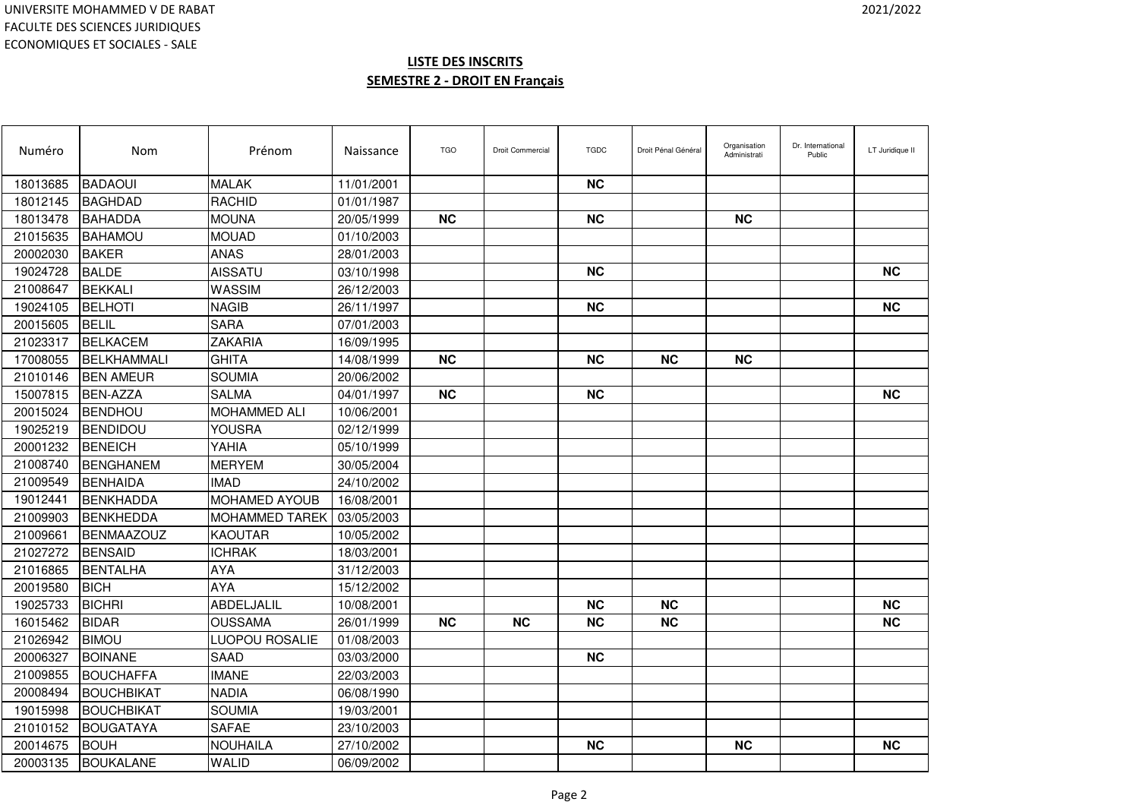| Numéro   | Nom               | Prénom                | Naissance  | <b>TGO</b> | Droit Commercial | <b>TGDC</b> | Droit Pénal Général | Organisation<br>Administrati | Dr. International<br>Public | LT Juridique II |
|----------|-------------------|-----------------------|------------|------------|------------------|-------------|---------------------|------------------------------|-----------------------------|-----------------|
| 18013685 | <b>BADAOUI</b>    | <b>MALAK</b>          | 11/01/2001 |            |                  | <b>NC</b>   |                     |                              |                             |                 |
| 18012145 | <b>BAGHDAD</b>    | <b>RACHID</b>         | 01/01/1987 |            |                  |             |                     |                              |                             |                 |
| 18013478 | <b>BAHADDA</b>    | <b>MOUNA</b>          | 20/05/1999 | <b>NC</b>  |                  | <b>NC</b>   |                     | <b>NC</b>                    |                             |                 |
| 21015635 | <b>BAHAMOU</b>    | <b>MOUAD</b>          | 01/10/2003 |            |                  |             |                     |                              |                             |                 |
| 20002030 | <b>BAKER</b>      | <b>ANAS</b>           | 28/01/2003 |            |                  |             |                     |                              |                             |                 |
| 19024728 | <b>BALDE</b>      | <b>AISSATU</b>        | 03/10/1998 |            |                  | <b>NC</b>   |                     |                              |                             | <b>NC</b>       |
| 21008647 | <b>BEKKALI</b>    | WASSIM                | 26/12/2003 |            |                  |             |                     |                              |                             |                 |
| 19024105 | <b>BELHOTI</b>    | <b>NAGIB</b>          | 26/11/1997 |            |                  | <b>NC</b>   |                     |                              |                             | <b>NC</b>       |
| 20015605 | <b>BELIL</b>      | <b>SARA</b>           | 07/01/2003 |            |                  |             |                     |                              |                             |                 |
| 21023317 | <b>BELKACEM</b>   | <b>ZAKARIA</b>        | 16/09/1995 |            |                  |             |                     |                              |                             |                 |
| 17008055 | BELKHAMMALI       | <b>GHITA</b>          | 14/08/1999 | <b>NC</b>  |                  | <b>NC</b>   | <b>NC</b>           | <b>NC</b>                    |                             |                 |
| 21010146 | <b>BEN AMEUR</b>  | <b>SOUMIA</b>         | 20/06/2002 |            |                  |             |                     |                              |                             |                 |
| 15007815 | <b>BEN-AZZA</b>   | <b>SALMA</b>          | 04/01/1997 | <b>NC</b>  |                  | <b>NC</b>   |                     |                              |                             | <b>NC</b>       |
| 20015024 | <b>BENDHOU</b>    | <b>MOHAMMED ALI</b>   | 10/06/2001 |            |                  |             |                     |                              |                             |                 |
| 19025219 | <b>BENDIDOU</b>   | YOUSRA                | 02/12/1999 |            |                  |             |                     |                              |                             |                 |
| 20001232 | <b>BENEICH</b>    | YAHIA                 | 05/10/1999 |            |                  |             |                     |                              |                             |                 |
| 21008740 | <b>BENGHANEM</b>  | <b>MERYEM</b>         | 30/05/2004 |            |                  |             |                     |                              |                             |                 |
| 21009549 | BENHAIDA          | <b>IMAD</b>           | 24/10/2002 |            |                  |             |                     |                              |                             |                 |
| 19012441 | <b>IBENKHADDA</b> | MOHAMED AYOUB         | 16/08/2001 |            |                  |             |                     |                              |                             |                 |
| 21009903 | <b>BENKHEDDA</b>  | MOHAMMED TAREK        | 03/05/2003 |            |                  |             |                     |                              |                             |                 |
| 21009661 | <b>BENMAAZOUZ</b> | <b>KAOUTAR</b>        | 10/05/2002 |            |                  |             |                     |                              |                             |                 |
| 21027272 | <b>BENSAID</b>    | <b>ICHRAK</b>         | 18/03/2001 |            |                  |             |                     |                              |                             |                 |
| 21016865 | <b>BENTALHA</b>   | AYA                   | 31/12/2003 |            |                  |             |                     |                              |                             |                 |
| 20019580 | <b>BICH</b>       | <b>AYA</b>            | 15/12/2002 |            |                  |             |                     |                              |                             |                 |
| 19025733 | <b>BICHRI</b>     | <b>ABDELJALIL</b>     | 10/08/2001 |            |                  | <b>NC</b>   | <b>NC</b>           |                              |                             | <b>NC</b>       |
| 16015462 | <b>BIDAR</b>      | <b>OUSSAMA</b>        | 26/01/1999 | <b>NC</b>  | <b>NC</b>        | <b>NC</b>   | <b>NC</b>           |                              |                             | <b>NC</b>       |
| 21026942 | <b>BIMOU</b>      | <b>LUOPOU ROSALIE</b> | 01/08/2003 |            |                  |             |                     |                              |                             |                 |
| 20006327 | <b>BOINANE</b>    | <b>SAAD</b>           | 03/03/2000 |            |                  | <b>NC</b>   |                     |                              |                             |                 |
| 21009855 | <b>BOUCHAFFA</b>  | <b>IMANE</b>          | 22/03/2003 |            |                  |             |                     |                              |                             |                 |
| 20008494 | <b>BOUCHBIKAT</b> | <b>NADIA</b>          | 06/08/1990 |            |                  |             |                     |                              |                             |                 |
| 19015998 | <b>BOUCHBIKAT</b> | <b>SOUMIA</b>         | 19/03/2001 |            |                  |             |                     |                              |                             |                 |
| 21010152 | <b>BOUGATAYA</b>  | <b>SAFAE</b>          | 23/10/2003 |            |                  |             |                     |                              |                             |                 |
| 20014675 | <b>BOUH</b>       | <b>NOUHAILA</b>       | 27/10/2002 |            |                  | <b>NC</b>   |                     | <b>NC</b>                    |                             | <b>NC</b>       |
| 20003135 | <b>BOUKALANE</b>  | <b>WALID</b>          | 06/09/2002 |            |                  |             |                     |                              |                             |                 |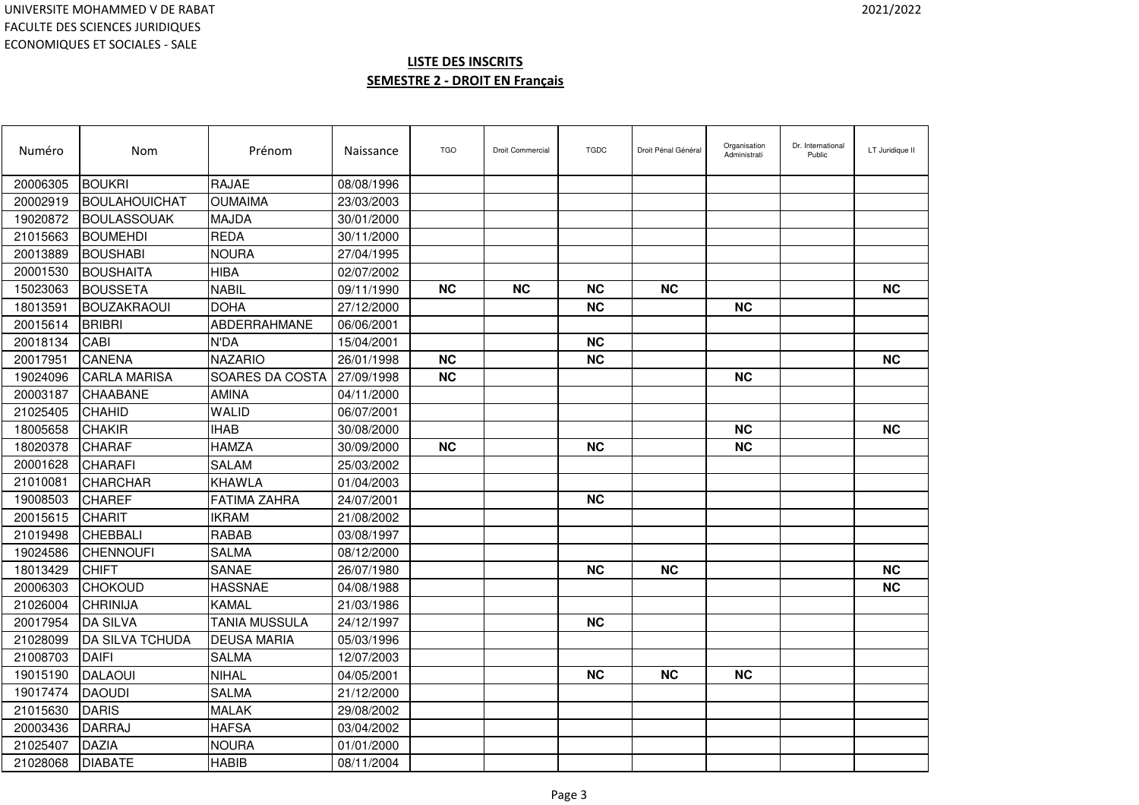| Numéro   | Nom                 | Prénom               | Naissance  | <b>TGO</b> | <b>Droit Commercial</b> | <b>TGDC</b> | Droit Pénal Général | Organisation<br>Administrati | Dr. International<br>Public | LT Juridique II |
|----------|---------------------|----------------------|------------|------------|-------------------------|-------------|---------------------|------------------------------|-----------------------------|-----------------|
| 20006305 | <b>BOUKRI</b>       | <b>RAJAE</b>         | 08/08/1996 |            |                         |             |                     |                              |                             |                 |
| 20002919 | BOULAHOUICHAT       | <b>OUMAIMA</b>       | 23/03/2003 |            |                         |             |                     |                              |                             |                 |
| 19020872 | <b>BOULASSOUAK</b>  | <b>MAJDA</b>         | 30/01/2000 |            |                         |             |                     |                              |                             |                 |
| 21015663 | <b>BOUMEHDI</b>     | <b>REDA</b>          | 30/11/2000 |            |                         |             |                     |                              |                             |                 |
| 20013889 | <b>BOUSHABI</b>     | <b>NOURA</b>         | 27/04/1995 |            |                         |             |                     |                              |                             |                 |
| 20001530 | <b>BOUSHAITA</b>    | <b>HIBA</b>          | 02/07/2002 |            |                         |             |                     |                              |                             |                 |
| 15023063 | <b>BOUSSETA</b>     | <b>NABIL</b>         | 09/11/1990 | <b>NC</b>  | <b>NC</b>               | <b>NC</b>   | <b>NC</b>           |                              |                             | <b>NC</b>       |
| 18013591 | <b>BOUZAKRAOUI</b>  | <b>DOHA</b>          | 27/12/2000 |            |                         | <b>NC</b>   |                     | <b>NC</b>                    |                             |                 |
| 20015614 | <b>BRIBRI</b>       | ABDERRAHMANE         | 06/06/2001 |            |                         |             |                     |                              |                             |                 |
| 20018134 | <b>CABI</b>         | N'DA                 | 15/04/2001 |            |                         | <b>NC</b>   |                     |                              |                             |                 |
| 20017951 | <b>CANENA</b>       | <b>NAZARIO</b>       | 26/01/1998 | <b>NC</b>  |                         | <b>NC</b>   |                     |                              |                             | <b>NC</b>       |
| 19024096 | <b>CARLA MARISA</b> | SOARES DA COSTA      | 27/09/1998 | <b>NC</b>  |                         |             |                     | <b>NC</b>                    |                             |                 |
| 20003187 | <b>CHAABANE</b>     | <b>AMINA</b>         | 04/11/2000 |            |                         |             |                     |                              |                             |                 |
| 21025405 | <b>CHAHID</b>       | <b>WALID</b>         | 06/07/2001 |            |                         |             |                     |                              |                             |                 |
| 18005658 | <b>CHAKIR</b>       | <b>IHAB</b>          | 30/08/2000 |            |                         |             |                     | <b>NC</b>                    |                             | <b>NC</b>       |
| 18020378 | <b>CHARAF</b>       | <b>HAMZA</b>         | 30/09/2000 | <b>NC</b>  |                         | <b>NC</b>   |                     | <b>NC</b>                    |                             |                 |
| 20001628 | <b>CHARAFI</b>      | <b>SALAM</b>         | 25/03/2002 |            |                         |             |                     |                              |                             |                 |
| 21010081 | <b>CHARCHAR</b>     | KHAWLA               | 01/04/2003 |            |                         |             |                     |                              |                             |                 |
| 19008503 | <b>CHAREF</b>       | <b>FATIMA ZAHRA</b>  | 24/07/2001 |            |                         | <b>NC</b>   |                     |                              |                             |                 |
| 20015615 | <b>CHARIT</b>       | <b>IKRAM</b>         | 21/08/2002 |            |                         |             |                     |                              |                             |                 |
| 21019498 | <b>CHEBBALI</b>     | <b>RABAB</b>         | 03/08/1997 |            |                         |             |                     |                              |                             |                 |
| 19024586 | <b>CHENNOUFI</b>    | <b>SALMA</b>         | 08/12/2000 |            |                         |             |                     |                              |                             |                 |
| 18013429 | <b>CHIFT</b>        | SANAE                | 26/07/1980 |            |                         | <b>NC</b>   | <b>NC</b>           |                              |                             | <b>NC</b>       |
| 20006303 | <b>CHOKOUD</b>      | <b>HASSNAE</b>       | 04/08/1988 |            |                         |             |                     |                              |                             | <b>NC</b>       |
| 21026004 | <b>CHRINIJA</b>     | <b>KAMAL</b>         | 21/03/1986 |            |                         |             |                     |                              |                             |                 |
| 20017954 | <b>DA SILVA</b>     | <b>TANIA MUSSULA</b> | 24/12/1997 |            |                         | <b>NC</b>   |                     |                              |                             |                 |
| 21028099 | DA SILVA TCHUDA     | <b>DEUSA MARIA</b>   | 05/03/1996 |            |                         |             |                     |                              |                             |                 |
| 21008703 | <b>DAIFI</b>        | <b>SALMA</b>         | 12/07/2003 |            |                         |             |                     |                              |                             |                 |
| 19015190 | <b>DALAOUI</b>      | <b>NIHAL</b>         | 04/05/2001 |            |                         | <b>NC</b>   | <b>NC</b>           | <b>NC</b>                    |                             |                 |
| 19017474 | <b>DAOUDI</b>       | <b>SALMA</b>         | 21/12/2000 |            |                         |             |                     |                              |                             |                 |
| 21015630 | <b>DARIS</b>        | <b>MALAK</b>         | 29/08/2002 |            |                         |             |                     |                              |                             |                 |
| 20003436 | <b>DARRAJ</b>       | <b>HAFSA</b>         | 03/04/2002 |            |                         |             |                     |                              |                             |                 |
| 21025407 | <b>DAZIA</b>        | <b>NOURA</b>         | 01/01/2000 |            |                         |             |                     |                              |                             |                 |
| 21028068 | <b>DIABATE</b>      | <b>HABIB</b>         | 08/11/2004 |            |                         |             |                     |                              |                             |                 |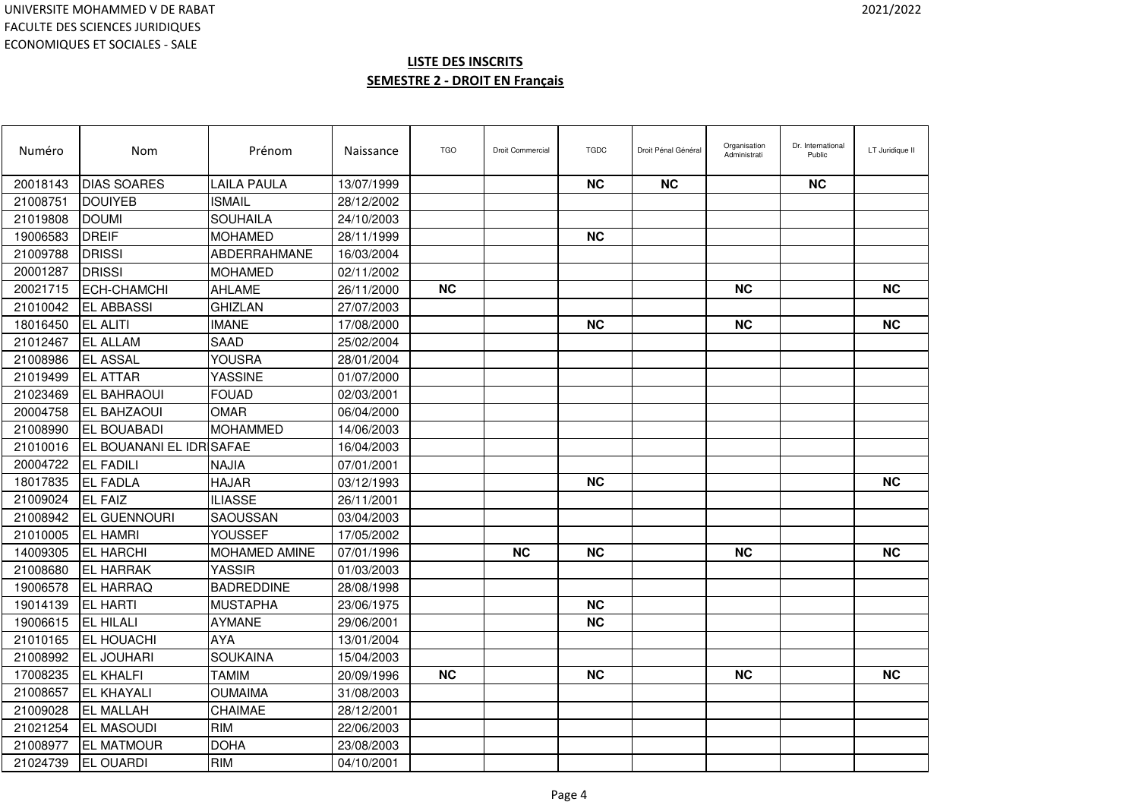| Numéro   | Nom                             | Prénom              | Naissance  | <b>TGO</b> | Droit Commercial | <b>TGDC</b> | Droit Pénal Général | Organisation<br>Administrati | Dr. International<br>Public | LT Juridique II |
|----------|---------------------------------|---------------------|------------|------------|------------------|-------------|---------------------|------------------------------|-----------------------------|-----------------|
| 20018143 | <b>DIAS SOARES</b>              | LAILA PAULA         | 13/07/1999 |            |                  | <b>NC</b>   | <b>NC</b>           |                              | <b>NC</b>                   |                 |
| 21008751 | <b>DOUIYEB</b>                  | <b>ISMAIL</b>       | 28/12/2002 |            |                  |             |                     |                              |                             |                 |
| 21019808 | <b>DOUMI</b>                    | <b>SOUHAILA</b>     | 24/10/2003 |            |                  |             |                     |                              |                             |                 |
| 19006583 | DREIF                           | MOHAMED             | 28/11/1999 |            |                  | NС          |                     |                              |                             |                 |
| 21009788 | <b>DRISSI</b>                   | <b>ABDERRAHMANE</b> | 16/03/2004 |            |                  |             |                     |                              |                             |                 |
| 20001287 | <b>DRISSI</b>                   | <b>MOHAMED</b>      | 02/11/2002 |            |                  |             |                     |                              |                             |                 |
| 20021715 | <b>ECH-CHAMCHI</b>              | <b>AHLAME</b>       | 26/11/2000 | <b>NC</b>  |                  |             |                     | <b>NC</b>                    |                             | <b>NC</b>       |
| 21010042 | <b>EL ABBASSI</b>               | <b>GHIZLAN</b>      | 27/07/2003 |            |                  |             |                     |                              |                             |                 |
| 18016450 | <b>EL ALITI</b>                 | <b>IMANE</b>        | 17/08/2000 |            |                  | <b>NC</b>   |                     | <b>NC</b>                    |                             | <b>NC</b>       |
| 21012467 | <b>EL ALLAM</b>                 | <b>SAAD</b>         | 25/02/2004 |            |                  |             |                     |                              |                             |                 |
| 21008986 | <b>EL ASSAL</b>                 | YOUSRA              | 28/01/2004 |            |                  |             |                     |                              |                             |                 |
| 21019499 | <b>EL ATTAR</b>                 | <b>YASSINE</b>      | 01/07/2000 |            |                  |             |                     |                              |                             |                 |
| 21023469 | <b>EL BAHRAOUI</b>              | <b>FOUAD</b>        | 02/03/2001 |            |                  |             |                     |                              |                             |                 |
| 20004758 | <b>EL BAHZAOUI</b>              | <b>OMAR</b>         | 06/04/2000 |            |                  |             |                     |                              |                             |                 |
| 21008990 | <b>EL BOUABADI</b>              | <b>MOHAMMED</b>     | 14/06/2003 |            |                  |             |                     |                              |                             |                 |
| 21010016 | <b>EL BOUANANI EL IDR SAFAE</b> |                     | 16/04/2003 |            |                  |             |                     |                              |                             |                 |
| 20004722 | <b>EL FADILI</b>                | NAJIA               | 07/01/2001 |            |                  |             |                     |                              |                             |                 |
| 18017835 | <b>EL FADLA</b>                 | <b>HAJAR</b>        | 03/12/1993 |            |                  | <b>NC</b>   |                     |                              |                             | <b>NC</b>       |
| 21009024 | <b>IEL FAIZ</b>                 | <b>ILIASSE</b>      | 26/11/2001 |            |                  |             |                     |                              |                             |                 |
| 21008942 | <b>EL GUENNOURI</b>             | SAOUSSAN            | 03/04/2003 |            |                  |             |                     |                              |                             |                 |
| 21010005 | <b>IEL HAMRI</b>                | YOUSSEF             | 17/05/2002 |            |                  |             |                     |                              |                             |                 |
| 14009305 | <b>IEL HARCHI</b>               | MOHAMED AMINE       | 07/01/1996 |            | <b>NC</b>        | <b>NC</b>   |                     | <b>NC</b>                    |                             | <b>NC</b>       |
| 21008680 | <b>EL HARRAK</b>                | <b>YASSIR</b>       | 01/03/2003 |            |                  |             |                     |                              |                             |                 |
| 19006578 | <b>EL HARRAQ</b>                | <b>BADREDDINE</b>   | 28/08/1998 |            |                  |             |                     |                              |                             |                 |
| 19014139 | <b>EL HARTI</b>                 | <b>MUSTAPHA</b>     | 23/06/1975 |            |                  | <b>NC</b>   |                     |                              |                             |                 |
| 19006615 | <b>EL HILALI</b>                | <b>AYMANE</b>       | 29/06/2001 |            |                  | <b>NC</b>   |                     |                              |                             |                 |
| 21010165 | <b>EL HOUACHI</b>               | <b>AYA</b>          | 13/01/2004 |            |                  |             |                     |                              |                             |                 |
| 21008992 | <b>IEL JOUHARI</b>              | <b>SOUKAINA</b>     | 15/04/2003 |            |                  |             |                     |                              |                             |                 |
| 17008235 | <b>EL KHALFI</b>                | <b>TAMIM</b>        | 20/09/1996 | <b>NC</b>  |                  | <b>NC</b>   |                     | <b>NC</b>                    |                             | <b>NC</b>       |
| 21008657 | <b>EL KHAYALI</b>               | <b>OUMAIMA</b>      | 31/08/2003 |            |                  |             |                     |                              |                             |                 |
| 21009028 | <b>EL MALLAH</b>                | CHAIMAE             | 28/12/2001 |            |                  |             |                     |                              |                             |                 |
| 21021254 | <b>EL MASOUDI</b>               | <b>RIM</b>          | 22/06/2003 |            |                  |             |                     |                              |                             |                 |
| 21008977 | <b>EL MATMOUR</b>               | <b>DOHA</b>         | 23/08/2003 |            |                  |             |                     |                              |                             |                 |
| 21024739 | <b>EL OUARDI</b>                | <b>RIM</b>          | 04/10/2001 |            |                  |             |                     |                              |                             |                 |
|          |                                 |                     |            |            |                  |             |                     |                              |                             |                 |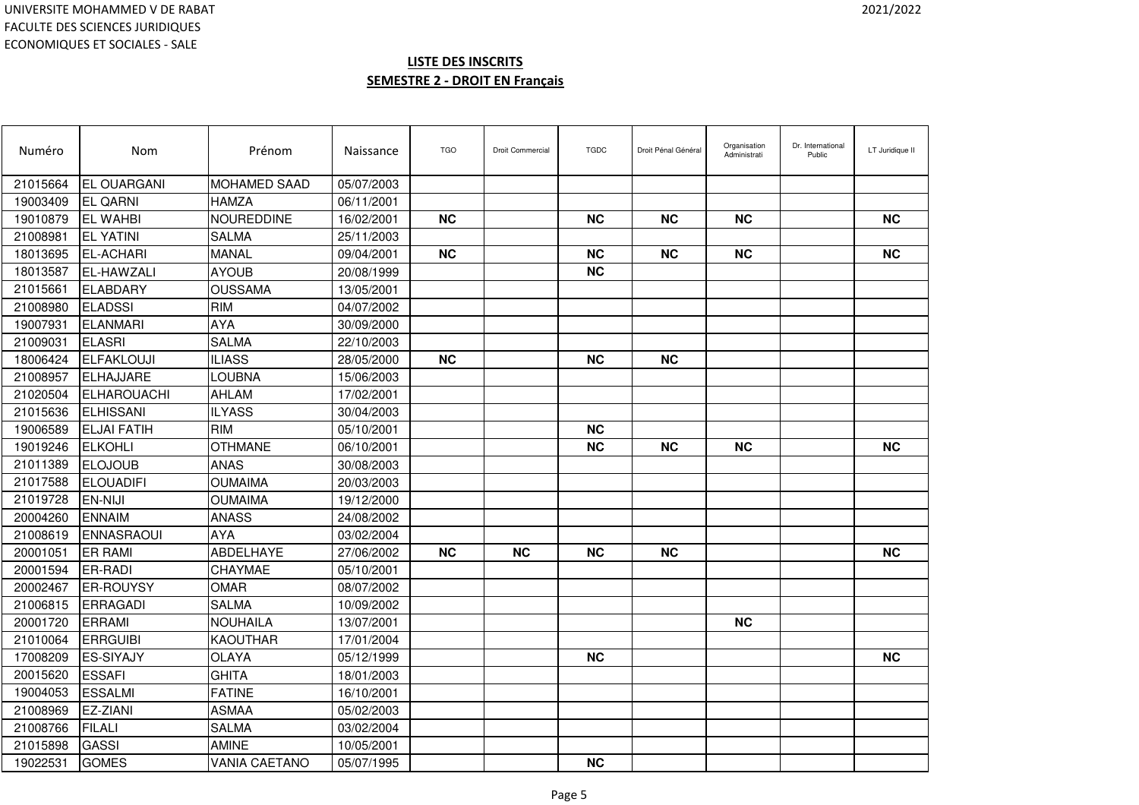| Numéro   | Nom                | Prénom               | Naissance  | <b>TGO</b> | <b>Droit Commercial</b> | <b>TGDC</b> | Droit Pénal Général | Organisation<br>Administrati | Dr. International<br>Public | LT Juridique II |
|----------|--------------------|----------------------|------------|------------|-------------------------|-------------|---------------------|------------------------------|-----------------------------|-----------------|
| 21015664 | <b>EL OUARGANI</b> | <b>MOHAMED SAAD</b>  | 05/07/2003 |            |                         |             |                     |                              |                             |                 |
| 19003409 | <b>EL QARNI</b>    | HAMZA                | 06/11/2001 |            |                         |             |                     |                              |                             |                 |
| 19010879 | <b>EL WAHBI</b>    | <b>NOUREDDINE</b>    | 16/02/2001 | <b>NC</b>  |                         | <b>NC</b>   | <b>NC</b>           | <b>NC</b>                    |                             | <b>NC</b>       |
| 21008981 | <b>EL YATINI</b>   | <b>SALMA</b>         | 25/11/2003 |            |                         |             |                     |                              |                             |                 |
| 18013695 | <b>EL-ACHARI</b>   | MANAL                | 09/04/2001 | <b>NC</b>  |                         | <b>NC</b>   | <b>NC</b>           | <b>NC</b>                    |                             | <b>NC</b>       |
| 18013587 | <b>EL-HAWZALI</b>  | <b>AYOUB</b>         | 20/08/1999 |            |                         | <b>NC</b>   |                     |                              |                             |                 |
| 21015661 | <b>ELABDARY</b>    | <b>OUSSAMA</b>       | 13/05/2001 |            |                         |             |                     |                              |                             |                 |
| 21008980 | <b>ELADSSI</b>     | <b>RIM</b>           | 04/07/2002 |            |                         |             |                     |                              |                             |                 |
| 19007931 | <b>ELANMARI</b>    | AYA                  | 30/09/2000 |            |                         |             |                     |                              |                             |                 |
| 21009031 | <b>ELASRI</b>      | <b>SALMA</b>         | 22/10/2003 |            |                         |             |                     |                              |                             |                 |
| 18006424 | ELFAKLOUJI         | <b>ILIASS</b>        | 28/05/2000 | <b>NC</b>  |                         | <b>NC</b>   | <b>NC</b>           |                              |                             |                 |
| 21008957 | <b>ELHAJJARE</b>   | LOUBNA               | 15/06/2003 |            |                         |             |                     |                              |                             |                 |
| 21020504 | ELHAROUACHI        | <b>AHLAM</b>         | 17/02/2001 |            |                         |             |                     |                              |                             |                 |
| 21015636 | <b>ELHISSANI</b>   | <b>ILYASS</b>        | 30/04/2003 |            |                         |             |                     |                              |                             |                 |
| 19006589 | <b>ELJAI FATIH</b> | <b>RIM</b>           | 05/10/2001 |            |                         | <b>NC</b>   |                     |                              |                             |                 |
| 19019246 | <b>ELKOHLI</b>     | <b>OTHMANE</b>       | 06/10/2001 |            |                         | <b>NC</b>   | <b>NC</b>           | <b>NC</b>                    |                             | <b>NC</b>       |
| 21011389 | <b>ELOJOUB</b>     | <b>ANAS</b>          | 30/08/2003 |            |                         |             |                     |                              |                             |                 |
| 21017588 | <b>ELOUADIFI</b>   | <b>OUMAIMA</b>       | 20/03/2003 |            |                         |             |                     |                              |                             |                 |
| 21019728 | <b>IEN-NIJI</b>    | <b>OUMAIMA</b>       | 19/12/2000 |            |                         |             |                     |                              |                             |                 |
| 20004260 | <b>ENNAIM</b>      | ANASS                | 24/08/2002 |            |                         |             |                     |                              |                             |                 |
| 21008619 | <b>ENNASRAOUI</b>  | <b>AYA</b>           | 03/02/2004 |            |                         |             |                     |                              |                             |                 |
| 20001051 | <b>ER RAMI</b>     | <b>ABDELHAYE</b>     | 27/06/2002 | <b>NC</b>  | <b>NC</b>               | <b>NC</b>   | <b>NC</b>           |                              |                             | <b>NC</b>       |
| 20001594 | <b>ER-RADI</b>     | CHAYMAE              | 05/10/2001 |            |                         |             |                     |                              |                             |                 |
| 20002467 | <b>ER-ROUYSY</b>   | <b>OMAR</b>          | 08/07/2002 |            |                         |             |                     |                              |                             |                 |
| 21006815 | ERRAGADI           | <b>SALMA</b>         | 10/09/2002 |            |                         |             |                     |                              |                             |                 |
| 20001720 | <b>ERRAMI</b>      | <b>NOUHAILA</b>      | 13/07/2001 |            |                         |             |                     | <b>NC</b>                    |                             |                 |
| 21010064 | <b>ERRGUIBI</b>    | <b>KAOUTHAR</b>      | 17/01/2004 |            |                         |             |                     |                              |                             |                 |
| 17008209 | <b>ES-SIYAJY</b>   | <b>OLAYA</b>         | 05/12/1999 |            |                         | <b>NC</b>   |                     |                              |                             | <b>NC</b>       |
| 20015620 | <b>ESSAFI</b>      | <b>GHITA</b>         | 18/01/2003 |            |                         |             |                     |                              |                             |                 |
| 19004053 | <b>ESSALMI</b>     | <b>FATINE</b>        | 16/10/2001 |            |                         |             |                     |                              |                             |                 |
| 21008969 | EZ-ZIANI           | <b>ASMAA</b>         | 05/02/2003 |            |                         |             |                     |                              |                             |                 |
| 21008766 | <b>FILALI</b>      | <b>SALMA</b>         | 03/02/2004 |            |                         |             |                     |                              |                             |                 |
| 21015898 | <b>GASSI</b>       | <b>AMINE</b>         | 10/05/2001 |            |                         |             |                     |                              |                             |                 |
| 19022531 | <b>GOMES</b>       | <b>VANIA CAETANO</b> | 05/07/1995 |            |                         | <b>NC</b>   |                     |                              |                             |                 |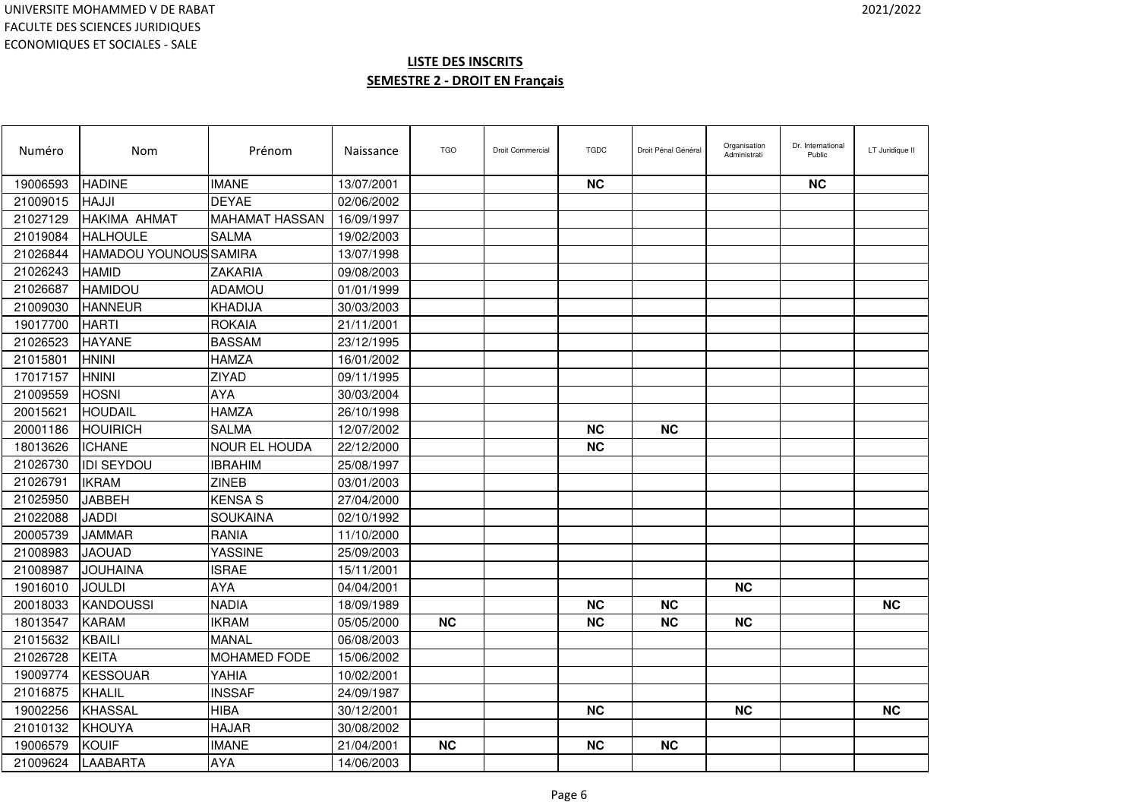| Numéro   | Nom                           | Prénom                | Naissance  | <b>TGO</b> | <b>Droit Commercial</b> | <b>TGDC</b> | Droit Pénal Général | Organisation<br>Administrati | Dr. International<br>Public | LT Juridique II |
|----------|-------------------------------|-----------------------|------------|------------|-------------------------|-------------|---------------------|------------------------------|-----------------------------|-----------------|
| 19006593 | <b>HADINE</b>                 | <b>IMANE</b>          | 13/07/2001 |            |                         | <b>NC</b>   |                     |                              | <b>NC</b>                   |                 |
| 21009015 | <b>HAJJI</b>                  | <b>DEYAE</b>          | 02/06/2002 |            |                         |             |                     |                              |                             |                 |
| 21027129 | <b>HAKIMA AHMAT</b>           | <b>MAHAMAT HASSAN</b> | 16/09/1997 |            |                         |             |                     |                              |                             |                 |
| 21019084 | <b>HALHOULE</b>               | <b>SALMA</b>          | 19/02/2003 |            |                         |             |                     |                              |                             |                 |
| 21026844 | <b>HAMADOU YOUNOUS SAMIRA</b> |                       | 13/07/1998 |            |                         |             |                     |                              |                             |                 |
| 21026243 | <b>HAMID</b>                  | <b>ZAKARIA</b>        | 09/08/2003 |            |                         |             |                     |                              |                             |                 |
| 21026687 | <b>HAMIDOU</b>                | <b>ADAMOU</b>         | 01/01/1999 |            |                         |             |                     |                              |                             |                 |
| 21009030 | <b>HANNEUR</b>                | <b>KHADIJA</b>        | 30/03/2003 |            |                         |             |                     |                              |                             |                 |
| 19017700 | <b>HARTI</b>                  | <b>ROKAIA</b>         | 21/11/2001 |            |                         |             |                     |                              |                             |                 |
| 21026523 | <b>HAYANE</b>                 | <b>BASSAM</b>         | 23/12/1995 |            |                         |             |                     |                              |                             |                 |
| 21015801 | <b>HNINI</b>                  | <b>HAMZA</b>          | 16/01/2002 |            |                         |             |                     |                              |                             |                 |
| 17017157 | <b>HNINI</b>                  | ZIYAD                 | 09/11/1995 |            |                         |             |                     |                              |                             |                 |
| 21009559 | <b>HOSNI</b>                  | AYA                   | 30/03/2004 |            |                         |             |                     |                              |                             |                 |
| 20015621 | <b>HOUDAIL</b>                | <b>HAMZA</b>          | 26/10/1998 |            |                         |             |                     |                              |                             |                 |
| 20001186 | <b>HOUIRICH</b>               | <b>SALMA</b>          | 12/07/2002 |            |                         | <b>NC</b>   | <b>NC</b>           |                              |                             |                 |
| 18013626 | <b>ICHANE</b>                 | <b>NOUR EL HOUDA</b>  | 22/12/2000 |            |                         | <b>NC</b>   |                     |                              |                             |                 |
| 21026730 | <b>IDI SEYDOU</b>             | <b>IBRAHIM</b>        | 25/08/1997 |            |                         |             |                     |                              |                             |                 |
| 21026791 | <b>IKRAM</b>                  | <b>ZINEB</b>          | 03/01/2003 |            |                         |             |                     |                              |                             |                 |
| 21025950 | <b>JABBEH</b>                 | <b>KENSA S</b>        | 27/04/2000 |            |                         |             |                     |                              |                             |                 |
| 21022088 | JADDI                         | SOUKAINA              | 02/10/1992 |            |                         |             |                     |                              |                             |                 |
| 20005739 | <b>JAMMAR</b>                 | <b>RANIA</b>          | 11/10/2000 |            |                         |             |                     |                              |                             |                 |
| 21008983 | <b>JAOUAD</b>                 | <b>YASSINE</b>        | 25/09/2003 |            |                         |             |                     |                              |                             |                 |
| 21008987 | <b>JOUHAINA</b>               | <b>ISRAE</b>          | 15/11/2001 |            |                         |             |                     |                              |                             |                 |
| 19016010 | <b>JOULDI</b>                 | <b>AYA</b>            | 04/04/2001 |            |                         |             |                     | <b>NC</b>                    |                             |                 |
| 20018033 | <b>KANDOUSSI</b>              | <b>NADIA</b>          | 18/09/1989 |            |                         | <b>NC</b>   | <b>NC</b>           |                              |                             | <b>NC</b>       |
| 18013547 | <b>KARAM</b>                  | <b>IKRAM</b>          | 05/05/2000 | <b>NC</b>  |                         | <b>NC</b>   | <b>NC</b>           | <b>NC</b>                    |                             |                 |
| 21015632 | <b>KBAILI</b>                 | <b>MANAL</b>          | 06/08/2003 |            |                         |             |                     |                              |                             |                 |
| 21026728 | KEITA                         | <b>MOHAMED FODE</b>   | 15/06/2002 |            |                         |             |                     |                              |                             |                 |
| 19009774 | KESSOUAR                      | YAHIA                 | 10/02/2001 |            |                         |             |                     |                              |                             |                 |
| 21016875 | KHALIL                        | <b>INSSAF</b>         | 24/09/1987 |            |                         |             |                     |                              |                             |                 |
| 19002256 | <b>KHASSAL</b>                | <b>HIBA</b>           | 30/12/2001 |            |                         | <b>NC</b>   |                     | <b>NC</b>                    |                             | <b>NC</b>       |
| 21010132 | KHOUYA                        | <b>HAJAR</b>          | 30/08/2002 |            |                         |             |                     |                              |                             |                 |
| 19006579 | <b>KOUIF</b>                  | <b>IMANE</b>          | 21/04/2001 | <b>NC</b>  |                         | <b>NC</b>   | <b>NC</b>           |                              |                             |                 |
| 21009624 | LAABARTA                      | <b>AYA</b>            | 14/06/2003 |            |                         |             |                     |                              |                             |                 |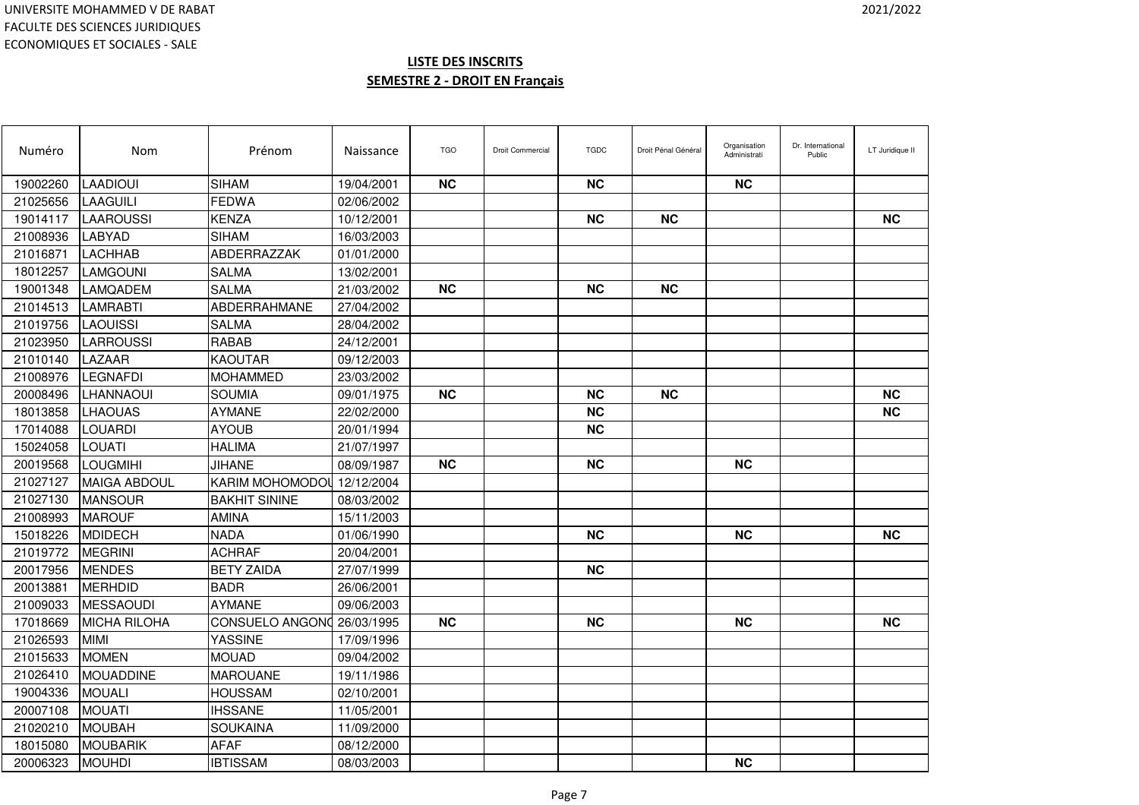| Numéro   | Nom                 | Prénom                 | Naissance  | <b>TGO</b> | <b>Droit Commercial</b> | <b>TGDC</b> | Droit Pénal Général | Organisation<br>Administrati | Dr. International<br>Public | LT Juridique II |
|----------|---------------------|------------------------|------------|------------|-------------------------|-------------|---------------------|------------------------------|-----------------------------|-----------------|
| 19002260 | LAADIOUI            | <b>SIHAM</b>           | 19/04/2001 | <b>NC</b>  |                         | <b>NC</b>   |                     | NC.                          |                             |                 |
| 21025656 | <b>LAAGUILI</b>     | FEDWA                  | 02/06/2002 |            |                         |             |                     |                              |                             |                 |
| 19014117 | <b>LAAROUSSI</b>    | <b>KENZA</b>           | 10/12/2001 |            |                         | <b>NC</b>   | <b>NC</b>           |                              |                             | <b>NC</b>       |
| 21008936 | <b>LABYAD</b>       | <b>SIHAM</b>           | 16/03/2003 |            |                         |             |                     |                              |                             |                 |
| 21016871 | LACHHAB             | ABDERRAZZAK            | 01/01/2000 |            |                         |             |                     |                              |                             |                 |
| 18012257 | LAMGOUNI            | <b>SALMA</b>           | 13/02/2001 |            |                         |             |                     |                              |                             |                 |
| 19001348 | LAMQADEM            | <b>SALMA</b>           | 21/03/2002 | <b>NC</b>  |                         | <b>NC</b>   | <b>NC</b>           |                              |                             |                 |
| 21014513 | <b>LAMRABTI</b>     | ABDERRAHMANE           | 27/04/2002 |            |                         |             |                     |                              |                             |                 |
| 21019756 | <b>LAOUISSI</b>     | <b>SALMA</b>           | 28/04/2002 |            |                         |             |                     |                              |                             |                 |
| 21023950 | LARROUSSI           | <b>RABAB</b>           | 24/12/2001 |            |                         |             |                     |                              |                             |                 |
| 21010140 | LAZAAR              | <b>KAOUTAR</b>         | 09/12/2003 |            |                         |             |                     |                              |                             |                 |
| 21008976 | <b>LEGNAFDI</b>     | <b>MOHAMMED</b>        | 23/03/2002 |            |                         |             |                     |                              |                             |                 |
| 20008496 | LHANNAOUI           | <b>SOUMIA</b>          | 09/01/1975 | <b>NC</b>  |                         | <b>NC</b>   | <b>NC</b>           |                              |                             | <b>NC</b>       |
| 18013858 | <b>LHAOUAS</b>      | <b>AYMANE</b>          | 22/02/2000 |            |                         | <b>NC</b>   |                     |                              |                             | <b>NC</b>       |
| 17014088 | LOUARDI             | <b>AYOUB</b>           | 20/01/1994 |            |                         | <b>NC</b>   |                     |                              |                             |                 |
| 15024058 | LOUATI              | <b>HALIMA</b>          | 21/07/1997 |            |                         |             |                     |                              |                             |                 |
| 20019568 | LOUGMIHI            | <b>JIHANE</b>          | 08/09/1987 | <b>NC</b>  |                         | <b>NC</b>   |                     | <b>NC</b>                    |                             |                 |
| 21027127 | <b>MAIGA ABDOUL</b> | KARIM MOHOMODOI        | 12/12/2004 |            |                         |             |                     |                              |                             |                 |
| 21027130 | <b>MANSOUR</b>      | <b>BAKHIT SININE</b>   | 08/03/2002 |            |                         |             |                     |                              |                             |                 |
| 21008993 | <b>IMAROUF</b>      | AMINA                  | 15/11/2003 |            |                         |             |                     |                              |                             |                 |
| 15018226 | <b>MDIDECH</b>      | <b>NADA</b>            | 01/06/1990 |            |                         | <b>NC</b>   |                     | <b>NC</b>                    |                             | <b>NC</b>       |
| 21019772 | <b>MEGRINI</b>      | <b>ACHRAF</b>          | 20/04/2001 |            |                         |             |                     |                              |                             |                 |
| 20017956 | <b>MENDES</b>       | <b>BETY ZAIDA</b>      | 27/07/1999 |            |                         | <b>NC</b>   |                     |                              |                             |                 |
| 20013881 | <b>MERHDID</b>      | <b>BADR</b>            | 26/06/2001 |            |                         |             |                     |                              |                             |                 |
| 21009033 | MESSAOUDI           | <b>AYMANE</b>          | 09/06/2003 |            |                         |             |                     |                              |                             |                 |
| 17018669 | <b>MICHA RILOHA</b> | <b>CONSUELO ANGONO</b> | 26/03/1995 | <b>NC</b>  |                         | <b>NC</b>   |                     | <b>NC</b>                    |                             | <b>NC</b>       |
| 21026593 | <b>MIMI</b>         | <b>YASSINE</b>         | 17/09/1996 |            |                         |             |                     |                              |                             |                 |
| 21015633 | <b>MOMEN</b>        | <b>MOUAD</b>           | 09/04/2002 |            |                         |             |                     |                              |                             |                 |
| 21026410 | <b>MOUADDINE</b>    | <b>MAROUANE</b>        | 19/11/1986 |            |                         |             |                     |                              |                             |                 |
| 19004336 | <b>MOUALI</b>       | <b>HOUSSAM</b>         | 02/10/2001 |            |                         |             |                     |                              |                             |                 |
| 20007108 | <b>MOUATI</b>       | <b>IHSSANE</b>         | 11/05/2001 |            |                         |             |                     |                              |                             |                 |
| 21020210 | <b>MOUBAH</b>       | <b>SOUKAINA</b>        | 11/09/2000 |            |                         |             |                     |                              |                             |                 |
| 18015080 | <b>MOUBARIK</b>     | <b>AFAF</b>            | 08/12/2000 |            |                         |             |                     |                              |                             |                 |
| 20006323 | <b>MOUHDI</b>       | <b>IBTISSAM</b>        | 08/03/2003 |            |                         |             |                     | <b>NC</b>                    |                             |                 |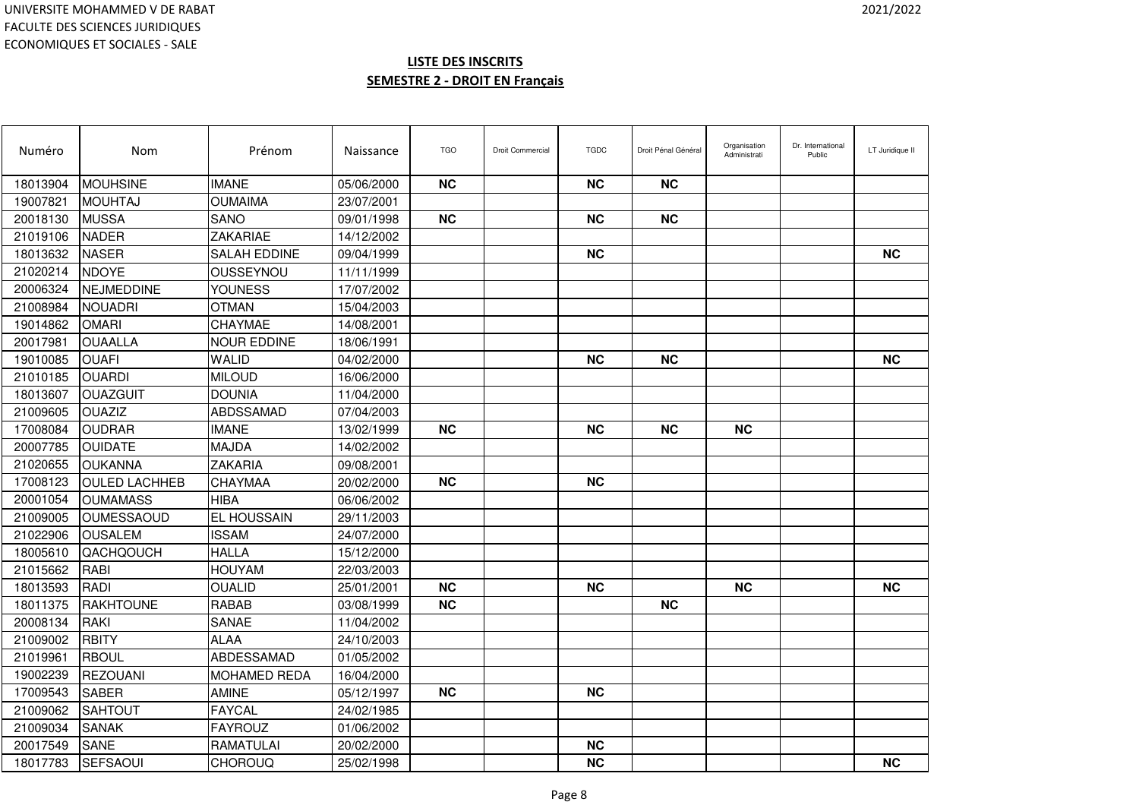| Numéro   | <b>Nom</b>           | Prénom              | Naissance  | <b>TGO</b> | <b>Droit Commercial</b> | <b>TGDC</b> | Droit Pénal Général | Organisation<br>Administrati | Dr. International<br>Public | LT Juridique II |
|----------|----------------------|---------------------|------------|------------|-------------------------|-------------|---------------------|------------------------------|-----------------------------|-----------------|
| 18013904 | <b>MOUHSINE</b>      | <b>IMANE</b>        | 05/06/2000 | <b>NC</b>  |                         | <b>NC</b>   | <b>NC</b>           |                              |                             |                 |
| 19007821 | <b>MOUHTAJ</b>       | <b>OUMAIMA</b>      | 23/07/2001 |            |                         |             |                     |                              |                             |                 |
| 20018130 | <b>MUSSA</b>         | <b>SANO</b>         | 09/01/1998 | <b>NC</b>  |                         | <b>NC</b>   | <b>NC</b>           |                              |                             |                 |
| 21019106 | <b>NADER</b>         | <b>ZAKARIAE</b>     | 14/12/2002 |            |                         |             |                     |                              |                             |                 |
| 18013632 | <b>NASER</b>         | SALAH EDDINE        | 09/04/1999 |            |                         | <b>NC</b>   |                     |                              |                             | <b>NC</b>       |
| 21020214 | <b>NDOYE</b>         | OUSSEYNOU           | 11/11/1999 |            |                         |             |                     |                              |                             |                 |
| 20006324 | NEJMEDDINE           | YOUNESS             | 17/07/2002 |            |                         |             |                     |                              |                             |                 |
| 21008984 | <b>NOUADRI</b>       | <b>OTMAN</b>        | 15/04/2003 |            |                         |             |                     |                              |                             |                 |
| 19014862 | <b>OMARI</b>         | CHAYMAE             | 14/08/2001 |            |                         |             |                     |                              |                             |                 |
| 20017981 | <b>OUAALLA</b>       | <b>NOUR EDDINE</b>  | 18/06/1991 |            |                         |             |                     |                              |                             |                 |
| 19010085 | <b>OUAFI</b>         | <b>WALID</b>        | 04/02/2000 |            |                         | <b>NC</b>   | <b>NC</b>           |                              |                             | <b>NC</b>       |
| 21010185 | <b>OUARDI</b>        | <b>MILOUD</b>       | 16/06/2000 |            |                         |             |                     |                              |                             |                 |
| 18013607 | OUAZGUIT             | <b>DOUNIA</b>       | 11/04/2000 |            |                         |             |                     |                              |                             |                 |
| 21009605 | <b>OUAZIZ</b>        | ABDSSAMAD           | 07/04/2003 |            |                         |             |                     |                              |                             |                 |
| 17008084 | <b>OUDRAR</b>        | <b>IMANE</b>        | 13/02/1999 | <b>NC</b>  |                         | <b>NC</b>   | <b>NC</b>           | <b>NC</b>                    |                             |                 |
| 20007785 | <b>OUIDATE</b>       | <b>MAJDA</b>        | 14/02/2002 |            |                         |             |                     |                              |                             |                 |
| 21020655 | <b>OUKANNA</b>       | ZAKARIA             | 09/08/2001 |            |                         |             |                     |                              |                             |                 |
| 17008123 | <b>OULED LACHHEB</b> | CHAYMAA             | 20/02/2000 | <b>NC</b>  |                         | <b>NC</b>   |                     |                              |                             |                 |
| 20001054 | <b>OUMAMASS</b>      | <b>HIBA</b>         | 06/06/2002 |            |                         |             |                     |                              |                             |                 |
| 21009005 | <b>OUMESSAOUD</b>    | EL HOUSSAIN         | 29/11/2003 |            |                         |             |                     |                              |                             |                 |
| 21022906 | <b>OUSALEM</b>       | <b>ISSAM</b>        | 24/07/2000 |            |                         |             |                     |                              |                             |                 |
| 18005610 | QACHQOUCH            | <b>HALLA</b>        | 15/12/2000 |            |                         |             |                     |                              |                             |                 |
| 21015662 | RABI                 | HOUYAM              | 22/03/2003 |            |                         |             |                     |                              |                             |                 |
| 18013593 | <b>RADI</b>          | <b>OUALID</b>       | 25/01/2001 | <b>NC</b>  |                         | <b>NC</b>   |                     | <b>NC</b>                    |                             | <b>NC</b>       |
| 18011375 | <b>RAKHTOUNE</b>     | RABAB               | 03/08/1999 | <b>NC</b>  |                         |             | <b>NC</b>           |                              |                             |                 |
| 20008134 | RAKI                 | SANAE               | 11/04/2002 |            |                         |             |                     |                              |                             |                 |
| 21009002 | <b>RBITY</b>         | <b>ALAA</b>         | 24/10/2003 |            |                         |             |                     |                              |                             |                 |
| 21019961 | <b>RBOUL</b>         | ABDESSAMAD          | 01/05/2002 |            |                         |             |                     |                              |                             |                 |
| 19002239 | <b>REZOUANI</b>      | <b>MOHAMED REDA</b> | 16/04/2000 |            |                         |             |                     |                              |                             |                 |
| 17009543 | <b>SABER</b>         | <b>AMINE</b>        | 05/12/1997 | <b>NC</b>  |                         | <b>NC</b>   |                     |                              |                             |                 |
| 21009062 | <b>SAHTOUT</b>       | <b>FAYCAL</b>       | 24/02/1985 |            |                         |             |                     |                              |                             |                 |
| 21009034 | <b>ISANAK</b>        | <b>FAYROUZ</b>      | 01/06/2002 |            |                         |             |                     |                              |                             |                 |
| 20017549 | <b>SANE</b>          | <b>RAMATULAI</b>    | 20/02/2000 |            |                         | <b>NC</b>   |                     |                              |                             |                 |
| 18017783 | <b>SEFSAOUI</b>      | <b>CHOROUQ</b>      | 25/02/1998 |            |                         | <b>NC</b>   |                     |                              |                             | <b>NC</b>       |